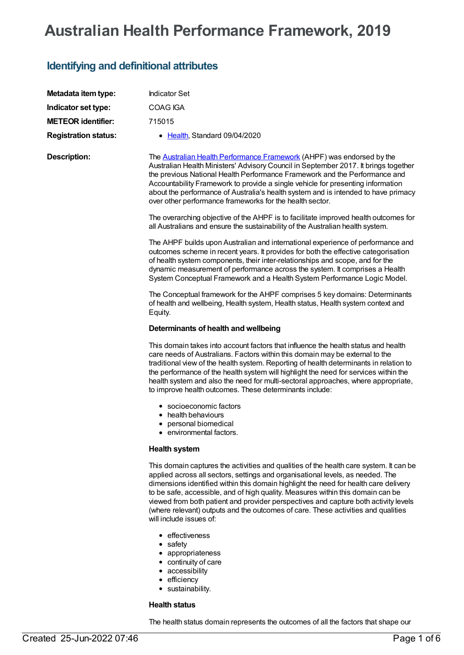# **Australian Health Performance Framework, 2019**

## **Identifying and definitional attributes**

| Metadata item type:         | <b>Indicator Set</b>                                                                                                                                                                                                                                                                                                                                                                                                                                                                                                                                       |
|-----------------------------|------------------------------------------------------------------------------------------------------------------------------------------------------------------------------------------------------------------------------------------------------------------------------------------------------------------------------------------------------------------------------------------------------------------------------------------------------------------------------------------------------------------------------------------------------------|
| Indicator set type:         | COAG IGA                                                                                                                                                                                                                                                                                                                                                                                                                                                                                                                                                   |
| <b>METEOR identifier:</b>   | 715015                                                                                                                                                                                                                                                                                                                                                                                                                                                                                                                                                     |
| <b>Registration status:</b> | • Health, Standard 09/04/2020                                                                                                                                                                                                                                                                                                                                                                                                                                                                                                                              |
| <b>Description:</b>         | The <b>Australian Health Performance Framework</b> (AHPF) was endorsed by the<br>Australian Health Ministers' Advisory Council in September 2017. It brings together<br>the previous National Health Performance Framework and the Performance and<br>Accountability Framework to provide a single vehicle for presenting information<br>about the performance of Australia's health system and is intended to have primacy<br>over other performance frameworks for the health sector.                                                                    |
|                             | The overarching objective of the AHPF is to facilitate improved health outcomes for<br>all Australians and ensure the sustainability of the Australian health system.                                                                                                                                                                                                                                                                                                                                                                                      |
|                             | The AHPF builds upon Australian and international experience of performance and<br>outcomes scheme in recent years. It provides for both the effective categorisation<br>of health system components, their inter-relationships and scope, and for the<br>dynamic measurement of performance across the system. It comprises a Health<br>System Conceptual Framework and a Health System Performance Logic Model.                                                                                                                                          |
|                             | The Conceptual framework for the AHPF comprises 5 key domains: Determinants<br>of health and wellbeing, Health system, Health status, Health system context and<br>Equity.                                                                                                                                                                                                                                                                                                                                                                                 |
|                             | Determinants of health and wellbeing                                                                                                                                                                                                                                                                                                                                                                                                                                                                                                                       |
|                             | This domain takes into account factors that influence the health status and health<br>care needs of Australians. Factors within this domain may be external to the<br>traditional view of the health system. Reporting of health determinants in relation to<br>the performance of the health system will highlight the need for services within the<br>health system and also the need for multi-sectoral approaches, where appropriate,<br>to improve health outcomes. These determinants include:                                                       |
|                             | • socioeconomic factors<br>health behaviours<br>personal biomedical<br>environmental factors.                                                                                                                                                                                                                                                                                                                                                                                                                                                              |
|                             | <b>Health system</b>                                                                                                                                                                                                                                                                                                                                                                                                                                                                                                                                       |
|                             | This domain captures the activities and qualities of the health care system. It can be<br>applied across all sectors, settings and organisational levels, as needed. The<br>dimensions identified within this domain highlight the need for health care delivery<br>to be safe, accessible, and of high quality. Measures within this domain can be<br>viewed from both patient and provider perspectives and capture both activity levels<br>(where relevant) outputs and the outcomes of care. These activities and qualities<br>will include issues of: |
|                             | • effectiveness<br>• safety<br>• appropriateness<br>• continuity of care<br>• accessibility<br>• efficiency                                                                                                                                                                                                                                                                                                                                                                                                                                                |

sustainability.

### **Health status**

The health status domain represents the outcomes of all the factors that shape our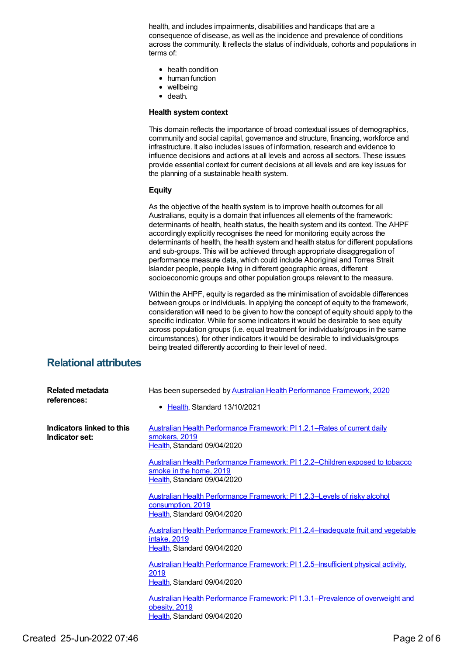health, and includes impairments, disabilities and handicaps that are a consequence of disease, as well as the incidence and prevalence of conditions across the community. It reflects the status of individuals, cohorts and populations in terms of:

- health condition
- human function
- wellbeing
- death.

### **Health systemcontext**

This domain reflects the importance of broad contextual issues of demographics, community and social capital, governance and structure, financing, workforce and infrastructure. It also includes issues of information, research and evidence to influence decisions and actions at all levels and across all sectors. These issues provide essential context for current decisions at all levels and are key issues for the planning of a sustainable health system.

### **Equity**

As the objective of the health system is to improve health outcomes for all Australians, equity is a domain that influences all elements of the framework: determinants of health, health status, the health system and its context. The AHPF accordingly explicitly recognises the need for monitoring equity across the determinants of health, the health system and health status for different populations and sub-groups. This will be achieved through appropriate disaggregation of performance measure data, which could include Aboriginal and Torres Strait Islander people, people living in different geographic areas, different socioeconomic groups and other population groups relevant to the measure.

Within the AHPF, equity is regarded as the minimisation of avoidable differences between groups or individuals. In applying the concept of equity to the framework, consideration will need to be given to how the concept of equity should apply to the specific indicator. While for some indicators it would be desirable to see equity across population groups (i.e. equal treatment for individuals/groups in the same circumstances), for other indicators it would be desirable to individuals/groups being treated differently according to their level of need.

### **Relational attributes**

| Related metadata<br>references:             | Has been superseded by Australian Health Performance Framework, 2020<br>• Health, Standard 13/10/2021                                  |
|---------------------------------------------|----------------------------------------------------------------------------------------------------------------------------------------|
| Indicators linked to this<br>Indicator set: | <b>Australian Health Performance Framework: PI1.2.1–Rates of current daily</b><br>smokers, 2019<br>Health, Standard 09/04/2020         |
|                                             | Australian Health Performance Framework: PI1.2.2–Children exposed to tobacco<br>smoke in the home, 2019<br>Health, Standard 09/04/2020 |
|                                             | Australian Health Performance Framework: PI1.2.3-Levels of risky alcohol<br>consumption, 2019<br>Health, Standard 09/04/2020           |
|                                             | Australian Health Performance Framework: PI1.2.4–Inadequate fruit and vegetable<br>intake, 2019<br>Health, Standard 09/04/2020         |
|                                             | Australian Health Performance Framework: PI1.2.5–Insufficient physical activity,<br>2019<br>Health, Standard 09/04/2020                |
|                                             | Australian Health Performance Framework: PI 1.3.1–Prevalence of overweight and<br>obesity, 2019<br>Health, Standard 09/04/2020         |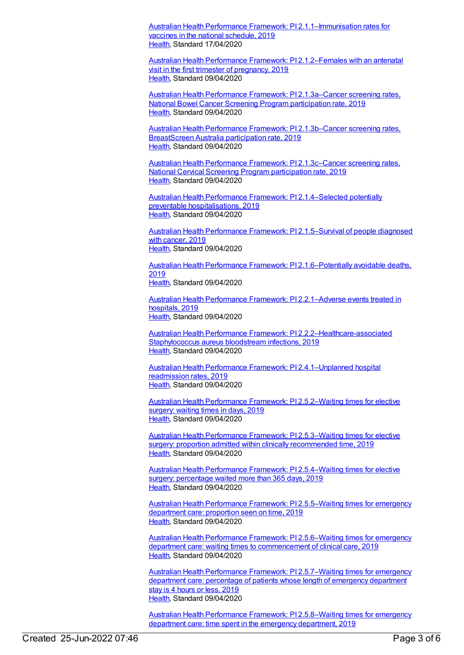Australian Health Performance Framework: PI [2.1.1–Immunisation](https://meteor.aihw.gov.au/content/715012) rates for vaccines in the national schedule, 2019 [Health](https://meteor.aihw.gov.au/RegistrationAuthority/12), Standard 17/04/2020

Australian Health Performance Framework: PI [2.1.2–Females](https://meteor.aihw.gov.au/content/715044) with an antenatal visit in the first trimester of pregnancy, 2019 [Health](https://meteor.aihw.gov.au/RegistrationAuthority/12), Standard 09/04/2020

Australian Health Performance Framework: PI [2.1.3a–Cancer](https://meteor.aihw.gov.au/content/716157) screening rates, National Bowel Cancer Screening Program participation rate, 2019 [Health](https://meteor.aihw.gov.au/RegistrationAuthority/12), Standard 09/04/2020

Australian Health Performance Framework: PI [2.1.3b–Cancer](https://meteor.aihw.gov.au/content/723531) screening rates, BreastScreen Australia participation rate, 2019 [Health](https://meteor.aihw.gov.au/RegistrationAuthority/12), Standard 09/04/2020

Australian Health Performance Framework: PI [2.1.3c–Cancer](https://meteor.aihw.gov.au/content/723528) screening rates, National Cervical Screening Program participation rate, 2019 [Health](https://meteor.aihw.gov.au/RegistrationAuthority/12), Standard 09/04/2020

Australian Health Performance Framework: PI [2.1.4–Selected](https://meteor.aihw.gov.au/content/715161) potentially preventable hospitalisations, 2019 [Health](https://meteor.aihw.gov.au/RegistrationAuthority/12), Standard 09/04/2020

Australian Health Performance Framework: PI [2.1.5–Survival](https://meteor.aihw.gov.au/content/715188) of people diagnosed with cancer, 2019 [Health](https://meteor.aihw.gov.au/RegistrationAuthority/12), Standard 09/04/2020

Australian Health Performance Framework: PI [2.1.6–Potentially](https://meteor.aihw.gov.au/content/715192) avoidable deaths, 2019 [Health](https://meteor.aihw.gov.au/RegistrationAuthority/12), Standard 09/04/2020

Australian Health Performance Framework: PI [2.2.1–Adverse](https://meteor.aihw.gov.au/content/716174) events treated in hospitals, 2019 [Health](https://meteor.aihw.gov.au/RegistrationAuthority/12), Standard 09/04/2020

Australian Health Performance Framework: PI [2.2.2–Healthcare-associated](https://meteor.aihw.gov.au/content/716034) Staphylococcus aureus bloodstream infections, 2019 [Health](https://meteor.aihw.gov.au/RegistrationAuthority/12), Standard 09/04/2020

Australian Health Performance Framework: PI [2.4.1–Unplanned](https://meteor.aihw.gov.au/content/715368) hospital readmission rates, 2019 [Health](https://meteor.aihw.gov.au/RegistrationAuthority/12), Standard 09/04/2020

Australian Health Performance Framework: PI [2.5.2–Waiting](https://meteor.aihw.gov.au/content/715376) times for elective surgery: waiting times in days, 2019 [Health](https://meteor.aihw.gov.au/RegistrationAuthority/12), Standard 09/04/2020

Australian Health Performance Framework: PI [2.5.3–Waiting](https://meteor.aihw.gov.au/content/715378) times for elective surgery: proportion admitted within clinically recommended time, 2019 [Health](https://meteor.aihw.gov.au/RegistrationAuthority/12), Standard 09/04/2020

Australian Health Performance Framework: PI [2.5.4–Waiting](https://meteor.aihw.gov.au/content/716182) times for elective surgery: percentage waited more than 365 days, 2019 [Health](https://meteor.aihw.gov.au/RegistrationAuthority/12), Standard 09/04/2020

Australian Health Performance Framework: PI [2.5.5–Waiting](https://meteor.aihw.gov.au/content/715380) times for emergency department care: proportion seen on time, 2019 [Health](https://meteor.aihw.gov.au/RegistrationAuthority/12), Standard 09/04/2020

Australian Health Performance Framework: PI [2.5.6–Waiting](https://meteor.aihw.gov.au/content/724051) times for emergency department care: waiting times to commencement of clinical care, 2019 [Health](https://meteor.aihw.gov.au/RegistrationAuthority/12), Standard 09/04/2020

Australian Health Performance Framework: PI [2.5.7–Waiting](https://meteor.aihw.gov.au/content/715382) times for emergency department care: percentage of patients whose length of emergency department stay is 4 hours or less, 2019 [Health](https://meteor.aihw.gov.au/RegistrationAuthority/12), Standard 09/04/2020

Australian Health Performance Framework: PI [2.5.8–Waiting](https://meteor.aihw.gov.au/content/716197) times for emergency department care: time spent in the emergency department, 2019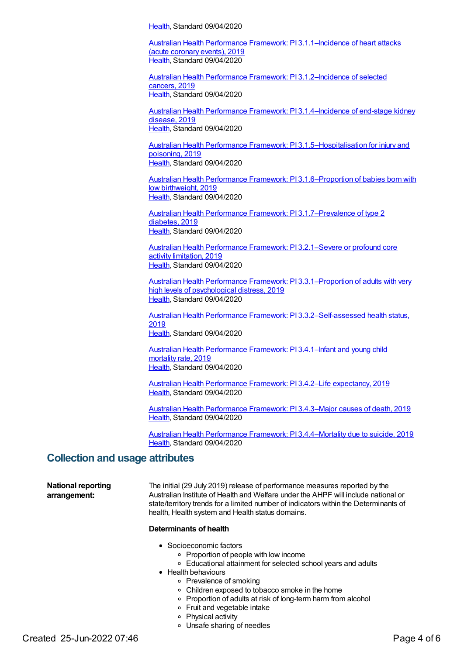[Health](https://meteor.aihw.gov.au/RegistrationAuthority/12), Standard 09/04/2020

Australian Health Performance Framework: PI [3.1.1–Incidence](https://meteor.aihw.gov.au/content/715234) of heart attacks (acute coronary events), 2019 [Health](https://meteor.aihw.gov.au/RegistrationAuthority/12), Standard 09/04/2020

Australian Health Performance Framework: PI [3.1.2–Incidence](https://meteor.aihw.gov.au/content/715297) of selected cancers, 2019 [Health](https://meteor.aihw.gov.au/RegistrationAuthority/12), Standard 09/04/2020

Australian Health Performance Framework: PI [3.1.4–Incidence](https://meteor.aihw.gov.au/content/715317) of end-stage kidney disease, 2019 [Health](https://meteor.aihw.gov.au/RegistrationAuthority/12), Standard 09/04/2020

Australian Health Performance Framework: PI [3.1.5–Hospitalisation](https://meteor.aihw.gov.au/content/715329) for injury and poisoning, 2019 [Health](https://meteor.aihw.gov.au/RegistrationAuthority/12), Standard 09/04/2020

Australian Health Performance Framework: PI [3.1.6–Proportion](https://meteor.aihw.gov.au/content/715299) of babies born with low birthweight, 2019 [Health](https://meteor.aihw.gov.au/RegistrationAuthority/12), Standard 09/04/2020

Australian Health Performance Framework: PI [3.1.7–Prevalence](https://meteor.aihw.gov.au/content/715302) of type 2 diabetes, 2019 [Health](https://meteor.aihw.gov.au/RegistrationAuthority/12), Standard 09/04/2020

Australian Health Performance Framework: PI [3.2.1–Severe](https://meteor.aihw.gov.au/content/716029) or profound core activity limitation, 2019 [Health](https://meteor.aihw.gov.au/RegistrationAuthority/12), Standard 09/04/2020

Australian Health Performance Framework: PI [3.3.1–Proportion](https://meteor.aihw.gov.au/content/715313) of adults with very high levels of psychological distress, 2019 [Health](https://meteor.aihw.gov.au/RegistrationAuthority/12), Standard 09/04/2020

Australian Health Performance Framework: PI [3.3.2–Self-assessed](https://meteor.aihw.gov.au/content/716032) health status, 2019 [Health](https://meteor.aihw.gov.au/RegistrationAuthority/12), Standard 09/04/2020

Australian Health [Performance](https://meteor.aihw.gov.au/content/715307) Framework: PI 3.4.1–Infant and young child mortality rate, 2019 [Health](https://meteor.aihw.gov.au/RegistrationAuthority/12), Standard 09/04/2020

Australian Health [Performance](https://meteor.aihw.gov.au/content/715309) Framework: PI 3.4.2–Life expectancy, 2019 [Health](https://meteor.aihw.gov.au/RegistrationAuthority/12), Standard 09/04/2020

Australian Health [Performance](https://meteor.aihw.gov.au/content/715311) Framework: PI 3.4.3–Major causes of death, 2019 [Health](https://meteor.aihw.gov.au/RegistrationAuthority/12), Standard 09/04/2020

Australian Health Performance Framework: PI [3.4.4–Mortality](https://meteor.aihw.gov.au/content/715334) due to suicide, 2019 [Health](https://meteor.aihw.gov.au/RegistrationAuthority/12), Standard 09/04/2020

### **Collection and usage attributes**

**National reporting arrangement:**

The initial (29 July 2019) release of performance measures reported by the Australian Institute of Health and Welfare under the AHPF will include national or state/territory trends for a limited number of indicators within the Determinants of health, Health system and Health status domains.

### **Determinants of health**

- Socioeconomic factors
	- Proportion of people with low income
	- Educational attainment for selected school years and adults
- Health behaviours
	- o Prevalence of smoking
	- Children exposed to tobacco smoke in the home
	- Proportion of adults at risk of long-term harm from alcohol
	- Fruit and vegetable intake
	- Physical activity
	- Unsafe sharing of needles